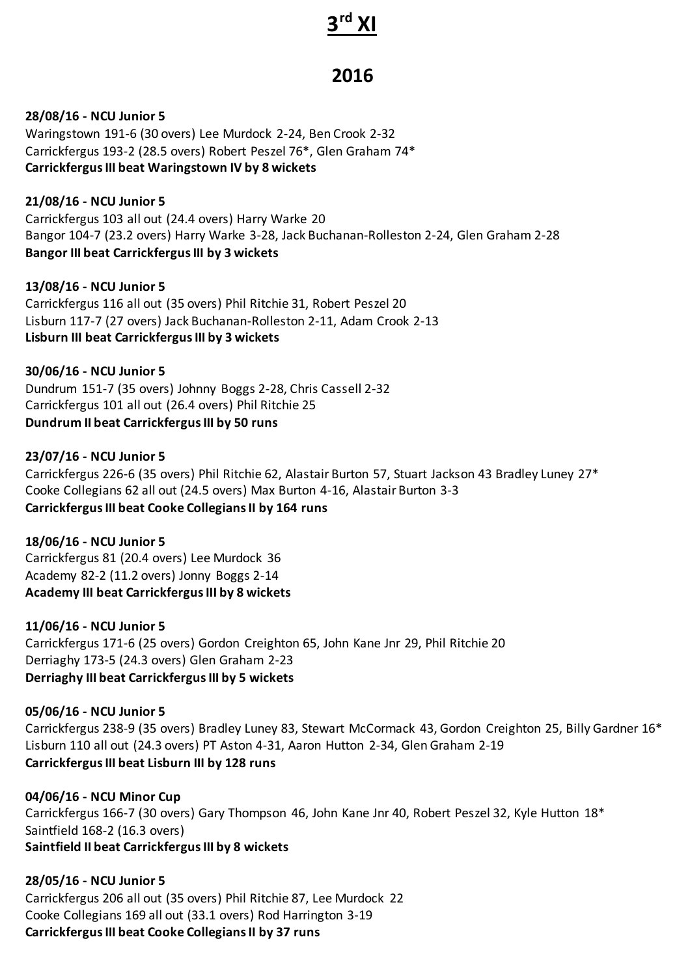#### **3 rd XI**

# **2016**

**28/08/16 - NCU Junior 5**

Waringstown 191-6 (30 overs) Lee Murdock 2-24, Ben Crook 2-32 Carrickfergus 193-2 (28.5 overs) Robert Peszel 76\*, Glen Graham 74\* **Carrickfergus III beat Waringstown IV by 8 wickets**

**21/08/16 - NCU Junior 5** Carrickfergus 103 all out (24.4 overs) Harry Warke 20 Bangor 104-7 (23.2 overs) Harry Warke 3-28, Jack Buchanan-Rolleston 2-24, Glen Graham 2-28 **Bangor III beat Carrickfergus III by 3 wickets**

**13/08/16 - NCU Junior 5** Carrickfergus 116 all out (35 overs) Phil Ritchie 31, Robert Peszel 20 Lisburn 117-7 (27 overs) Jack Buchanan-Rolleston 2-11, Adam Crook 2-13 **Lisburn III beat Carrickfergus III by 3 wickets**

**30/06/16 - NCU Junior 5** Dundrum 151-7 (35 overs) Johnny Boggs 2-28, Chris Cassell 2-32 Carrickfergus 101 all out (26.4 overs) Phil Ritchie 25 **Dundrum II beat Carrickfergus III by 50 runs**

## **23/07/16 - NCU Junior 5**

Carrickfergus 226-6 (35 overs) Phil Ritchie 62, Alastair Burton 57, Stuart Jackson 43 Bradley Luney 27\* Cooke Collegians 62 all out (24.5 overs) Max Burton 4-16, Alastair Burton 3-3 **Carrickfergus III beat Cooke Collegians II by 164 runs**

**18/06/16 - NCU Junior 5** Carrickfergus 81 (20.4 overs) Lee Murdock 36 Academy 82-2 (11.2 overs) Jonny Boggs 2-14 **Academy III beat Carrickfergus III by 8 wickets**

**11/06/16 - NCU Junior 5** Carrickfergus 171-6 (25 overs) Gordon Creighton 65, John Kane Jnr 29, Phil Ritchie 20 Derriaghy 173-5 (24.3 overs) Glen Graham 2-23 **Derriaghy III beat Carrickfergus III by 5 wickets**

#### **05/06/16 - NCU Junior 5**

Carrickfergus 238-9 (35 overs) Bradley Luney 83, Stewart McCormack 43, Gordon Creighton 25, Billy Gardner 16\* Lisburn 110 all out (24.3 overs) PT Aston 4-31, Aaron Hutton 2-34, Glen Graham 2-19 **Carrickfergus III beat Lisburn III by 128 runs**

**04/06/16 - NCU Minor Cup** Carrickfergus 166-7 (30 overs) Gary Thompson 46, John Kane Jnr 40, Robert Peszel 32, Kyle Hutton 18\* Saintfield 168-2 (16.3 overs) **Saintfield II beat Carrickfergus III by 8 wickets**

**28/05/16 - NCU Junior 5** Carrickfergus 206 all out (35 overs) Phil Ritchie 87, Lee Murdock 22 Cooke Collegians 169 all out (33.1 overs) Rod Harrington 3-19 **Carrickfergus III beat Cooke Collegians II by 37 runs**